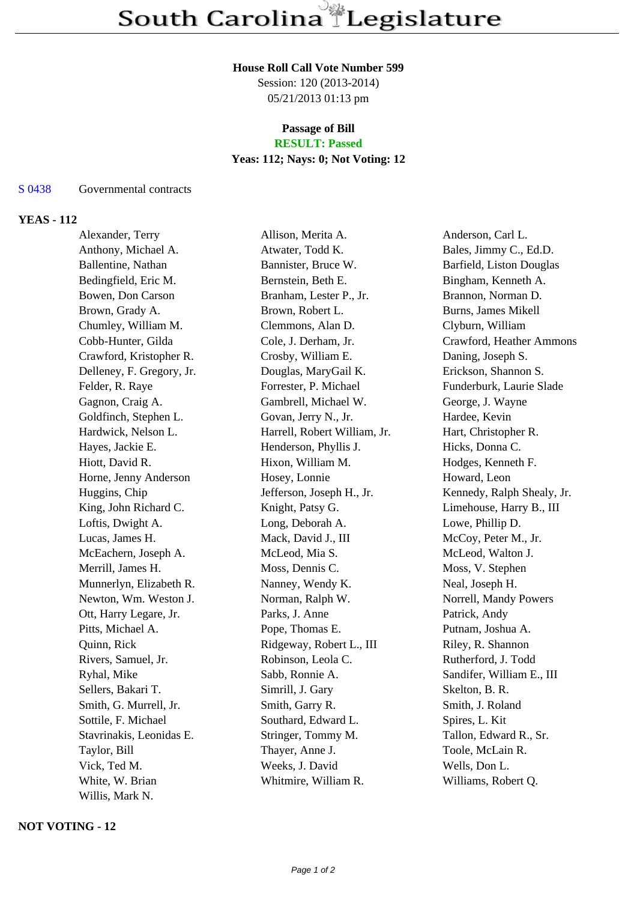#### **House Roll Call Vote Number 599**

Session: 120 (2013-2014) 05/21/2013 01:13 pm

# **Passage of Bill**

## **RESULT: Passed**

### **Yeas: 112; Nays: 0; Not Voting: 12**

#### S 0438 Governmental contracts

### **YEAS - 112**

Alexander, Terry Allison, Merita A. Anderson, Carl L. Anthony, Michael A. **Atwater, Todd K.** Bales, Jimmy C., Ed.D. Ballentine, Nathan Bannister, Bruce W. Barfield, Liston Douglas Bedingfield, Eric M. Bernstein, Beth E. Bingham, Kenneth A. Bowen, Don Carson Branham, Lester P., Jr. Brannon, Norman D. Brown, Grady A. **Brown, Robert L.** Burns, James Mikell Chumley, William M. Clemmons, Alan D. Clyburn, William Cobb-Hunter, Gilda Cole, J. Derham, Jr. Crawford, Heather Ammons Crawford, Kristopher R. Crosby, William E. Daning, Joseph S. Delleney, F. Gregory, Jr. Douglas, MaryGail K. Erickson, Shannon S. Felder, R. Raye **Forrester, P. Michael Funderburk, Laurie Slade** Funderburk, Laurie Slade Gagnon, Craig A. Gambrell, Michael W. George, J. Wayne Goldfinch, Stephen L. Govan, Jerry N., Jr. Hardee, Kevin Hardwick, Nelson L. Harrell, Robert William, Jr. Hart, Christopher R. Hayes, Jackie E. Henderson, Phyllis J. Hicks, Donna C. Hiott, David R. Hixon, William M. Hodges, Kenneth F. Horne, Jenny Anderson Hosey, Lonnie Howard, Leon Huggins, Chip Jefferson, Joseph H., Jr. Kennedy, Ralph Shealy, Jr. King, John Richard C. Knight, Patsy G. Limehouse, Harry B., III Loftis, Dwight A. Long, Deborah A. Lowe, Phillip D. Lucas, James H. Mack, David J., III McCoy, Peter M., Jr. McEachern, Joseph A. McLeod, Mia S. McLeod, Walton J. Merrill, James H. Moss, Dennis C. Moss, V. Stephen Munnerlyn, Elizabeth R. Nanney, Wendy K. Neal, Joseph H. Newton, Wm. Weston J. Norman, Ralph W. Norrell, Mandy Powers Ott, Harry Legare, Jr. Parks, J. Anne Patrick, Andy Pitts, Michael A. Pope, Thomas E. Putnam, Joshua A. Quinn, Rick **Ridgeway, Robert L., III** Riley, R. Shannon Rivers, Samuel, Jr. Robinson, Leola C. Rutherford, J. Todd Ryhal, Mike Sabb, Ronnie A. Sandifer, William E., III Sellers, Bakari T. Simrill, J. Gary Skelton, B. R. Smith, G. Murrell, Jr. Smith, Garry R. Smith, J. Roland Sottile, F. Michael Southard, Edward L. Spires, L. Kit Stavrinakis, Leonidas E. Stringer, Tommy M. Tallon, Edward R., Sr. Taylor, Bill Thayer, Anne J. Toole, McLain R. Vick, Ted M. Weeks, J. David Wells, Don L. White, W. Brian Whitmire, William R. Williams, Robert Q. Willis, Mark N.

### **NOT VOTING - 12**